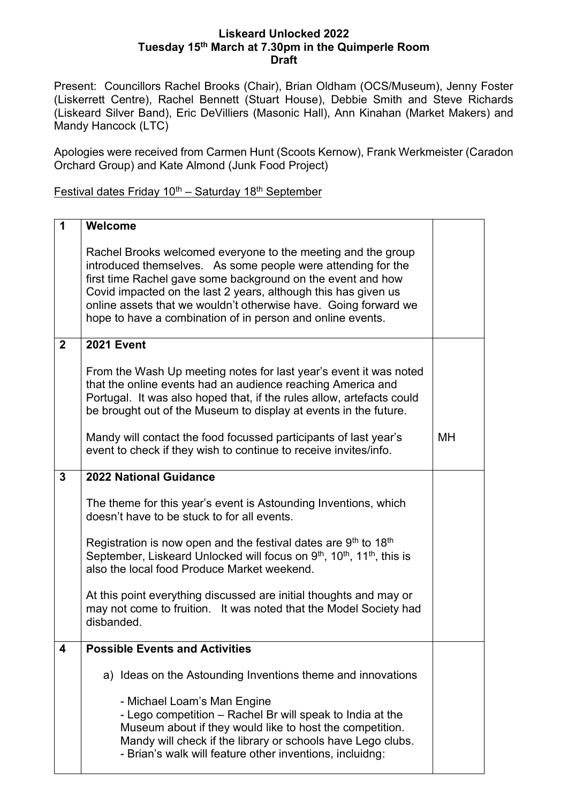## **Liskeard Unlocked 2022 Tuesday 15th March at 7.30pm in the Quimperle Room Draft**

Present: Councillors Rachel Brooks (Chair), Brian Oldham (OCS/Museum), Jenny Foster (Liskerrett Centre), Rachel Bennett (Stuart House), Debbie Smith and Steve Richards (Liskeard Silver Band), Eric DeVilliers (Masonic Hall), Ann Kinahan (Market Makers) and Mandy Hancock (LTC)

Apologies were received from Carmen Hunt (Scoots Kernow), Frank Werkmeister (Caradon Orchard Group) and Kate Almond (Junk Food Project)

Festival dates Friday  $10^{th}$  – Saturday 18<sup>th</sup> September

| 1              | Welcome                                                                                                                                                                                                                                                                                                                                                                                        |           |
|----------------|------------------------------------------------------------------------------------------------------------------------------------------------------------------------------------------------------------------------------------------------------------------------------------------------------------------------------------------------------------------------------------------------|-----------|
|                | Rachel Brooks welcomed everyone to the meeting and the group<br>introduced themselves. As some people were attending for the<br>first time Rachel gave some background on the event and how<br>Covid impacted on the last 2 years, although this has given us<br>online assets that we wouldn't otherwise have. Going forward we<br>hope to have a combination of in person and online events. |           |
| $\overline{2}$ | <b>2021 Event</b>                                                                                                                                                                                                                                                                                                                                                                              |           |
|                | From the Wash Up meeting notes for last year's event it was noted<br>that the online events had an audience reaching America and<br>Portugal. It was also hoped that, if the rules allow, artefacts could<br>be brought out of the Museum to display at events in the future.                                                                                                                  |           |
|                | Mandy will contact the food focussed participants of last year's<br>event to check if they wish to continue to receive invites/info.                                                                                                                                                                                                                                                           | <b>MH</b> |
| $\overline{3}$ | <b>2022 National Guidance</b>                                                                                                                                                                                                                                                                                                                                                                  |           |
|                | The theme for this year's event is Astounding Inventions, which<br>doesn't have to be stuck to for all events.                                                                                                                                                                                                                                                                                 |           |
|                | Registration is now open and the festival dates are $9th$ to 18 <sup>th</sup><br>September, Liskeard Unlocked will focus on $9th$ , 10 <sup>th</sup> , 11 <sup>th</sup> , this is<br>also the local food Produce Market weekend.                                                                                                                                                               |           |
|                | At this point everything discussed are initial thoughts and may or<br>may not come to fruition. It was noted that the Model Society had<br>disbanded.                                                                                                                                                                                                                                          |           |
| 4              | <b>Possible Events and Activities</b>                                                                                                                                                                                                                                                                                                                                                          |           |
|                | a) Ideas on the Astounding Inventions theme and innovations                                                                                                                                                                                                                                                                                                                                    |           |
|                | - Michael Loam's Man Engine<br>- Lego competition – Rachel Br will speak to India at the<br>Museum about if they would like to host the competition.<br>Mandy will check if the library or schools have Lego clubs.<br>- Brian's walk will feature other inventions, incluidng:                                                                                                                |           |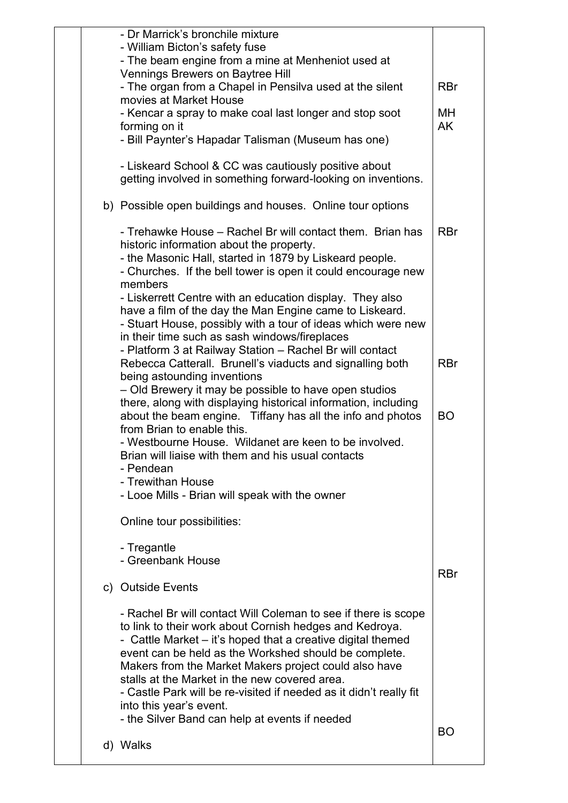|  | - Dr Marrick's bronchile mixture<br>- William Bicton's safety fuse                                                                                                                                                                                                                                                                                                                                                                                                                                             |                 |
|--|----------------------------------------------------------------------------------------------------------------------------------------------------------------------------------------------------------------------------------------------------------------------------------------------------------------------------------------------------------------------------------------------------------------------------------------------------------------------------------------------------------------|-----------------|
|  | - The beam engine from a mine at Menheniot used at<br>Vennings Brewers on Baytree Hill                                                                                                                                                                                                                                                                                                                                                                                                                         |                 |
|  | - The organ from a Chapel in Pensilva used at the silent<br>movies at Market House                                                                                                                                                                                                                                                                                                                                                                                                                             | <b>RBr</b>      |
|  | - Kencar a spray to make coal last longer and stop soot                                                                                                                                                                                                                                                                                                                                                                                                                                                        | MН<br><b>AK</b> |
|  | forming on it<br>- Bill Paynter's Hapadar Talisman (Museum has one)                                                                                                                                                                                                                                                                                                                                                                                                                                            |                 |
|  | - Liskeard School & CC was cautiously positive about<br>getting involved in something forward-looking on inventions.                                                                                                                                                                                                                                                                                                                                                                                           |                 |
|  | b) Possible open buildings and houses. Online tour options                                                                                                                                                                                                                                                                                                                                                                                                                                                     |                 |
|  | - Trehawke House – Rachel Br will contact them. Brian has<br>historic information about the property.<br>- the Masonic Hall, started in 1879 by Liskeard people.<br>- Churches. If the bell tower is open it could encourage new<br>members<br>- Liskerrett Centre with an education display. They also                                                                                                                                                                                                        | <b>RBr</b>      |
|  | have a film of the day the Man Engine came to Liskeard.<br>- Stuart House, possibly with a tour of ideas which were new<br>in their time such as sash windows/fireplaces                                                                                                                                                                                                                                                                                                                                       |                 |
|  | - Platform 3 at Railway Station - Rachel Br will contact<br>Rebecca Catterall. Brunell's viaducts and signalling both<br>being astounding inventions                                                                                                                                                                                                                                                                                                                                                           | <b>RBr</b>      |
|  | - Old Brewery it may be possible to have open studios<br>there, along with displaying historical information, including<br>about the beam engine. Tiffany has all the info and photos<br>from Brian to enable this.<br>- Westbourne House. Wildanet are keen to be involved.<br>Brian will liaise with them and his usual contacts<br>- Pendean                                                                                                                                                                | <b>BO</b>       |
|  | - Trewithan House<br>- Looe Mills - Brian will speak with the owner                                                                                                                                                                                                                                                                                                                                                                                                                                            |                 |
|  | Online tour possibilities:                                                                                                                                                                                                                                                                                                                                                                                                                                                                                     |                 |
|  | - Tregantle<br>- Greenbank House                                                                                                                                                                                                                                                                                                                                                                                                                                                                               | <b>RBr</b>      |
|  | c) Outside Events                                                                                                                                                                                                                                                                                                                                                                                                                                                                                              |                 |
|  | - Rachel Br will contact Will Coleman to see if there is scope<br>to link to their work about Cornish hedges and Kedroya.<br>- Cattle Market – it's hoped that a creative digital themed<br>event can be held as the Workshed should be complete.<br>Makers from the Market Makers project could also have<br>stalls at the Market in the new covered area.<br>- Castle Park will be re-visited if needed as it didn't really fit<br>into this year's event.<br>- the Silver Band can help at events if needed |                 |
|  | d) Walks                                                                                                                                                                                                                                                                                                                                                                                                                                                                                                       | BO              |
|  |                                                                                                                                                                                                                                                                                                                                                                                                                                                                                                                |                 |